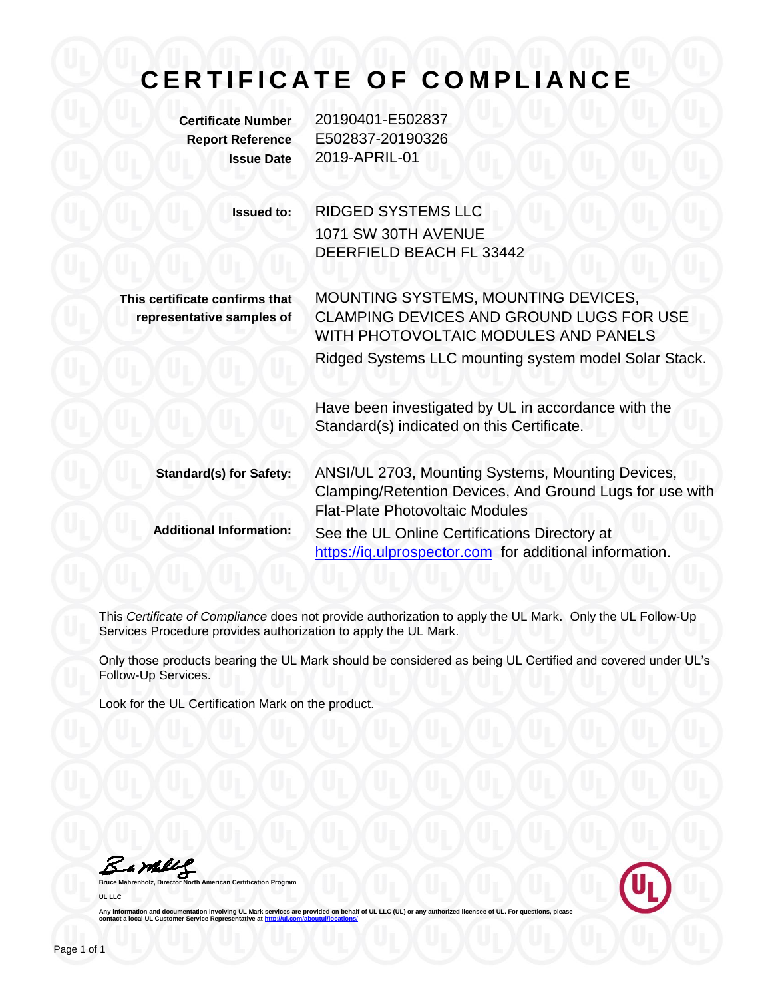## **C E R T I F I C A T E O F C O M P L I A N C E**

**Certificate Number** 20190401-E502837 **Report Reference** E502837-20190326 **Issue Date** 2019-APRIL-01

> **Issued to:** RIDGED SYSTEMS LLC 1071 SW 30TH AVENUE DEERFIELD BEACH FL 33442

**This certificate confirms that representative samples of**

MOUNTING SYSTEMS, MOUNTING DEVICES, CLAMPING DEVICES AND GROUND LUGS FOR USE WITH PHOTOVOLTAIC MODULES AND PANELS Ridged Systems LLC mounting system model Solar Stack.

Have been investigated by UL in accordance with the Standard(s) indicated on this Certificate.

**Standard(s) for Safety:** ANSI/UL 2703, Mounting Systems, Mounting Devices, Clamping/Retention Devices, And Ground Lugs for use with Flat-Plate Photovoltaic Modules **Additional Information:** See the UL Online Certifications Directory at https://iq.ulprospector.com for additional information.

This *Certificate of Compliance* does not provide authorization to apply the UL Mark. Only the UL Follow-Up Services Procedure provides authorization to apply the UL Mark.

Only those products bearing the UL Mark should be considered as being UL Certified and covered under UL's Follow-Up Services.

Look for the UL Certification Mark on the product.

Bample

**Bruce Mahrenholz, Director North American Certification Program UL LLC**



Any information and documentation involving UL Mark services are provided on behalf of UL LLC (UL) or any authorized licensee of UL. For questions, please<br>contact a local UL Customer Service Representative at <u>http://ul.co</u>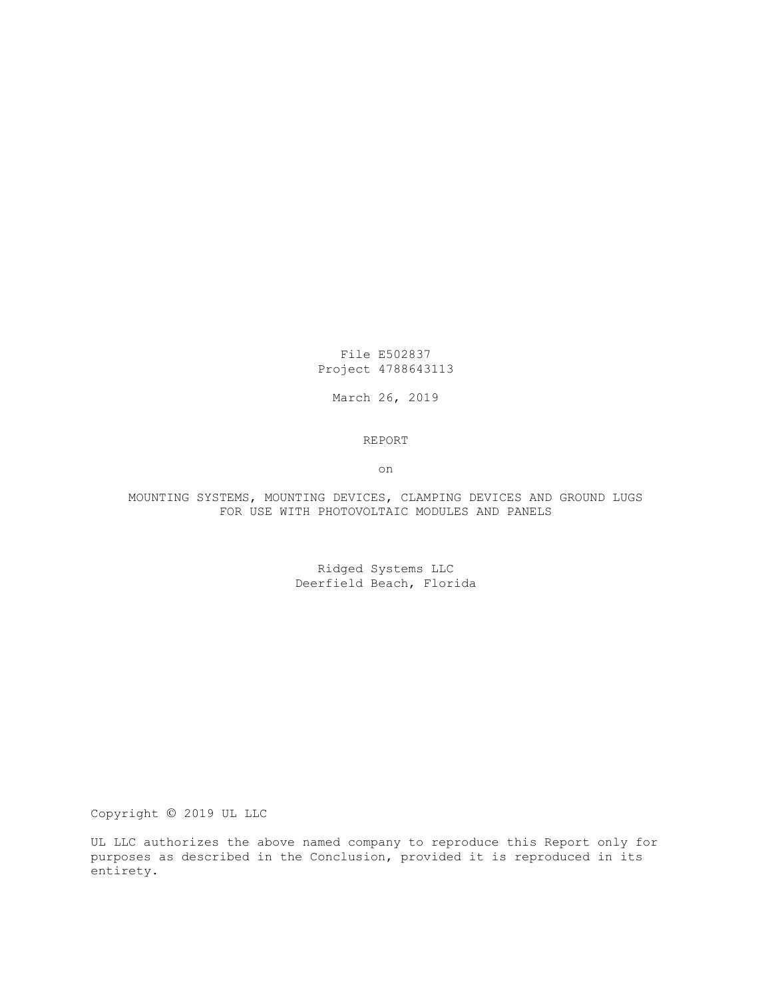File E502837 Project 4788643113

March 26, 2019

REPORT

on

MOUNTING SYSTEMS, MOUNTING DEVICES, CLAMPING DEVICES AND GROUND LUGS FOR USE WITH PHOTOVOLTAIC MODULES AND PANELS

> Ridged Systems LLC Deerfield Beach, Florida

Copyright © 2019 UL LLC

UL LLC authorizes the above named company to reproduce this Report only for purposes as described in the Conclusion, provided it is reproduced in its entirety.